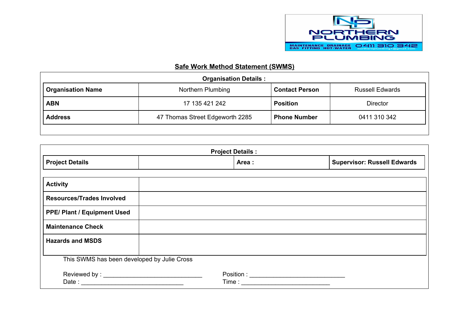

## **Safe Work Method Statement (SWMS)**

| <b>Organisation Details:</b> |                                                        |                       |                        |  |
|------------------------------|--------------------------------------------------------|-----------------------|------------------------|--|
| <b>Organisation Name</b>     | Northern Plumbing                                      | <b>Contact Person</b> | <b>Russell Edwards</b> |  |
| <b>ABN</b>                   | <b>Position</b><br>17 135 421 242                      |                       | <b>Director</b>        |  |
| <b>Address</b>               | 47 Thomas Street Edgeworth 2285<br><b>Phone Number</b> |                       | 0411 310 342           |  |
|                              |                                                        |                       |                        |  |

| <b>Project Details:</b>                     |  |        |                                    |  |
|---------------------------------------------|--|--------|------------------------------------|--|
| <b>Project Details</b>                      |  | Area : | <b>Supervisor: Russell Edwards</b> |  |
|                                             |  |        |                                    |  |
| <b>Activity</b>                             |  |        |                                    |  |
| <b>Resources/Trades Involved</b>            |  |        |                                    |  |
| <b>PPE/ Plant / Equipment Used</b>          |  |        |                                    |  |
| <b>Maintenance Check</b>                    |  |        |                                    |  |
| <b>Hazards and MSDS</b>                     |  |        |                                    |  |
|                                             |  |        |                                    |  |
| This SWMS has been developed by Julie Cross |  |        |                                    |  |
|                                             |  |        |                                    |  |
|                                             |  |        |                                    |  |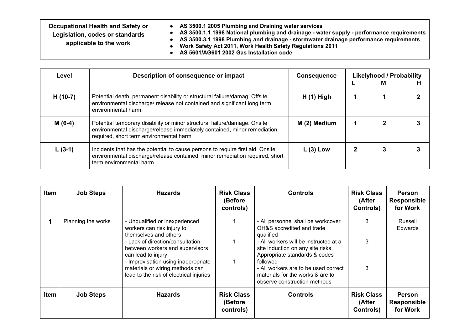| Occupational Health and Safety or<br>Legislation, codes or standards<br>applicable to the work | AS 3500.1 2005 Plumbing and Draining water services<br>AS 3500.1.1 1998 National plumbing and drainage - water supply - performance requirements<br>AS 3500.3.1 1998 Plumbing and drainage - stormwater drainage performance requirements<br>Work Safety Act 2011, Work Health Safety Regulations 2011 |
|------------------------------------------------------------------------------------------------|--------------------------------------------------------------------------------------------------------------------------------------------------------------------------------------------------------------------------------------------------------------------------------------------------------|
|                                                                                                | AS 5601/AG601 2002 Gas Installation code                                                                                                                                                                                                                                                               |

| Level     | Description of consequence or impact                                                                                                                                                             | <b>Consequence</b> | <b>Likelyhood / Probability</b><br>м |  |
|-----------|--------------------------------------------------------------------------------------------------------------------------------------------------------------------------------------------------|--------------------|--------------------------------------|--|
| $H(10-7)$ | Potential death, permanent disability or structural failure/damag. Offsite<br>environmental discharge/ release not contained and significant long term<br>environmental harm.                    | $H(1)$ High        |                                      |  |
| $M(6-4)$  | Potential temporary disability or minor structural failure/damage. Onsite<br>environmental discharge/release immediately contained, minor remediation<br>required, short term environmental harm | M (2) Medium       |                                      |  |
| $L(3-1)$  | Incidents that has the potential to cause persons to require first aid. Onsite<br>environmental discharge/release contained, minor remediation required, short<br>term environmental harm        | $L(3)$ Low         |                                      |  |

| Item | <b>Job Steps</b>   | <b>Hazards</b>                                                                                                                                                                                                                                                                                          | <b>Risk Class</b><br>(Before<br>controls) | <b>Controls</b>                                                                                                                                                                                                                                                                                                     | <b>Risk Class</b><br>(After<br>Controls) | <b>Person</b><br><b>Responsible</b><br>for Work |
|------|--------------------|---------------------------------------------------------------------------------------------------------------------------------------------------------------------------------------------------------------------------------------------------------------------------------------------------------|-------------------------------------------|---------------------------------------------------------------------------------------------------------------------------------------------------------------------------------------------------------------------------------------------------------------------------------------------------------------------|------------------------------------------|-------------------------------------------------|
|      | Planning the works | - Unqualified or inexperienced<br>workers can risk injury to<br>themselves and others<br>- Lack of direction/consultation<br>between workers and supervisors<br>can lead to injury<br>- Improvisation using inappropriate<br>materials or wiring methods can<br>lead to the risk of electrical injuries |                                           | - All personnel shall be workcover<br>OH&S accredited and trade<br>qualified<br>- All workers will be instructed at a<br>site induction on any site risks.<br>Appropriate standards & codes<br>followed<br>- All workers are to be used correct<br>materials for the works & are to<br>observe construction methods | 3<br>3<br>3                              | Russell<br><b>Edwards</b>                       |
| Item | <b>Job Steps</b>   | <b>Hazards</b>                                                                                                                                                                                                                                                                                          | <b>Risk Class</b><br>(Before<br>controls) | <b>Controls</b>                                                                                                                                                                                                                                                                                                     | <b>Risk Class</b><br>(After<br>Controls) | <b>Person</b><br><b>Responsible</b><br>for Work |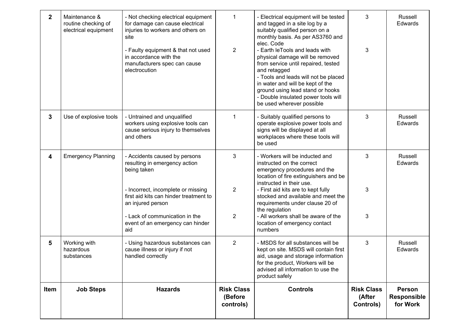| $\mathbf 2$  | Maintenance &<br>routine checking of<br>electrical equipment | - Not checking electrical equipment<br>for damage can cause electrical<br>injuries to workers and others on<br>site<br>- Faulty equipment & that not used<br>in accordance with the<br>manufacturers spec can cause<br>electrocution                            | 1<br>$\overline{2}$                       | - Electrical equipment will be tested<br>and tagged in a site log by a<br>suitably qualified person on a<br>monthly basis. As per AS3760 and<br>elec. Code<br>- Earth leTools and leads with<br>physical damage will be removed<br>from service until repaired, tested<br>and retagged<br>- Tools and leads will not be placed<br>in water and will be kept of the<br>ground using lead stand or hooks<br>- Double insulated power tools will<br>be used wherever possible | 3<br>3                                   | Russell<br>Edwards                       |
|--------------|--------------------------------------------------------------|-----------------------------------------------------------------------------------------------------------------------------------------------------------------------------------------------------------------------------------------------------------------|-------------------------------------------|----------------------------------------------------------------------------------------------------------------------------------------------------------------------------------------------------------------------------------------------------------------------------------------------------------------------------------------------------------------------------------------------------------------------------------------------------------------------------|------------------------------------------|------------------------------------------|
| $\mathbf{3}$ | Use of explosive tools                                       | - Untrained and unqualified<br>workers using explosive tools can<br>cause serious injury to themselves<br>and others                                                                                                                                            | 1                                         | - Suitably qualified persons to<br>operate explosive power tools and<br>signs will be displayed at all<br>workplaces where these tools will<br>be used                                                                                                                                                                                                                                                                                                                     | 3                                        | Russell<br>Edwards                       |
| 4            | <b>Emergency Planning</b>                                    | - Accidents caused by persons<br>resulting in emergency action<br>being taken<br>- Incorrect, incomplete or missing<br>first aid kits can hinder treatment to<br>an injured person<br>- Lack of communication in the<br>event of an emergency can hinder<br>aid | 3<br>$\overline{2}$<br>$\overline{2}$     | - Workers will be inducted and<br>instructed on the correct<br>emergency procedures and the<br>location of fire extinguishers and be<br>instructed in their use.<br>- First aid kits are to kept fully<br>stocked and available and meet the<br>requirements under clause 20 of<br>the regulation<br>- All workers shall be aware of the<br>location of emergency contact<br>numbers                                                                                       | 3<br>3<br>3                              | Russell<br>Edwards                       |
| 5            | Working with<br>hazardous<br>substances                      | - Using hazardous substances can<br>cause illness or injury if not<br>handled correctly                                                                                                                                                                         | $\overline{2}$                            | - MSDS for all substances will be<br>kept on site. MSDS will contain first<br>aid, usage and storage information<br>for the product, Workers will be<br>advised all information to use the<br>product safely                                                                                                                                                                                                                                                               | 3                                        | Russell<br>Edwards                       |
| Item         | <b>Job Steps</b>                                             | <b>Hazards</b>                                                                                                                                                                                                                                                  | <b>Risk Class</b><br>(Before<br>controls) | <b>Controls</b>                                                                                                                                                                                                                                                                                                                                                                                                                                                            | <b>Risk Class</b><br>(After<br>Controls) | <b>Person</b><br>Responsible<br>for Work |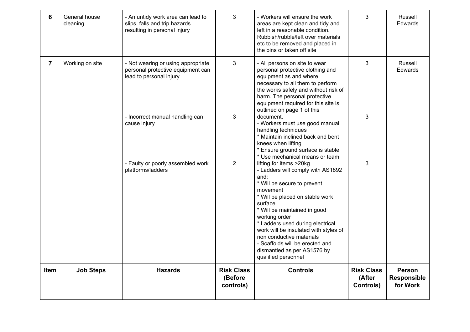| 6              | General house<br>cleaning | - An untidy work area can lead to<br>slips, falls and trip hazards<br>resulting in personal injury | 3                                         | - Workers will ensure the work<br>areas are kept clean and tidy and<br>left in a reasonable condition.<br>Rubbish/rubble/left over materials<br>etc to be removed and placed in<br>the bins or taken off site                                                                                                                                                                         | 3                                        | Russell<br><b>Edwards</b>                       |
|----------------|---------------------------|----------------------------------------------------------------------------------------------------|-------------------------------------------|---------------------------------------------------------------------------------------------------------------------------------------------------------------------------------------------------------------------------------------------------------------------------------------------------------------------------------------------------------------------------------------|------------------------------------------|-------------------------------------------------|
| $\overline{7}$ | Working on site           | - Not wearing or using appropriate<br>personal protective equipment can<br>lead to personal injury | 3                                         | - All persons on site to wear<br>personal protective clothing and<br>equipment as and where<br>necessary to all them to perform<br>the works safely and without risk of<br>harm. The personal protective<br>equipment required for this site is<br>outlined on page 1 of this                                                                                                         | 3                                        | Russell<br>Edwards                              |
|                |                           | - Incorrect manual handling can<br>cause injury<br>- Faulty or poorly assembled work               | 3<br>$\overline{2}$                       | document.<br>- Workers must use good manual<br>handling techniques<br>* Maintain inclined back and bent<br>knees when lifting<br>* Ensure ground surface is stable<br>* Use mechanical means or team<br>lifting for items >20kg                                                                                                                                                       | 3<br>3                                   |                                                 |
|                |                           | platforms/ladders                                                                                  |                                           | - Ladders will comply with AS1892<br>and:<br>* Will be secure to prevent<br>movement<br>* Will be placed on stable work<br>surface<br>* Will be maintained in good<br>working order<br>* Ladders used during electrical<br>work will be insulated with styles of<br>non conductive materials<br>- Scaffolds will be erected and<br>dismantled as per AS1576 by<br>qualified personnel |                                          |                                                 |
| Item           | <b>Job Steps</b>          | <b>Hazards</b>                                                                                     | <b>Risk Class</b><br>(Before<br>controls) | <b>Controls</b>                                                                                                                                                                                                                                                                                                                                                                       | <b>Risk Class</b><br>(After<br>Controls) | <b>Person</b><br><b>Responsible</b><br>for Work |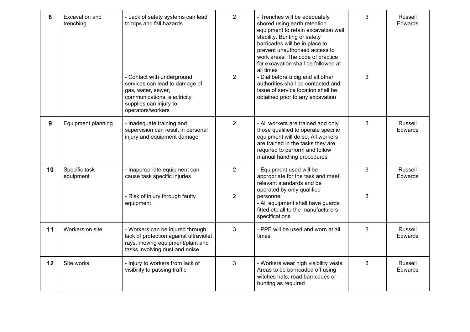| 8  | Excavation and<br>trenching | - Lack of safety systems can lead<br>to trips and fall hazards<br>- Contact with underground<br>services can lead to damage of<br>gas, water, sewer,<br>communications, electricity<br>supplies can injury to<br>operators/workers | $\overline{2}$<br>$\overline{2}$ | - Trenches will be adequately<br>shored using earth retention<br>equipment to retain excavation wall<br>stability. Bunting or safety<br>barricades will be in place to<br>prevent unauthorised access to<br>work areas. The code of practice<br>for excavation shall be followed at<br>all times<br>- Dial before u dig and all other<br>authorities shall be contacted and<br>issue of service location shall be<br>obtained prior to any excavation | 3<br>3 | Russell<br>Edwards |
|----|-----------------------------|------------------------------------------------------------------------------------------------------------------------------------------------------------------------------------------------------------------------------------|----------------------------------|-------------------------------------------------------------------------------------------------------------------------------------------------------------------------------------------------------------------------------------------------------------------------------------------------------------------------------------------------------------------------------------------------------------------------------------------------------|--------|--------------------|
| 9  | Equipment planning          | - Inadequate training and<br>supervision can result in personal<br>injury and equipment damage                                                                                                                                     | $\overline{2}$                   | - All workers are trained and only<br>those qualified to operate specific<br>equipment will do so. All workers<br>are trained in the tasks they are<br>required to perform and follow<br>manual handling procedures                                                                                                                                                                                                                                   | 3      | Russell<br>Edwards |
| 10 | Specific task<br>equipment  | - Inappropriate equipment can<br>cause task specific injuries<br>- Risk of injury through faulty<br>equipment                                                                                                                      | $\overline{2}$<br>$\overline{2}$ | - Equipment used will be<br>appropriate for the task and meet<br>relevant standards and be<br>operated by only qualified<br>personnel<br>- All equipment shall have guards<br>fitted etc all to the manufacturers<br>specifications                                                                                                                                                                                                                   | 3<br>3 | Russell<br>Edwards |
| 11 | Workers on site             | - Workers can be injured through<br>lack of protection against ultraviolet<br>rays, moving equipment/plant and<br>tasks involving dust and noise                                                                                   | 3                                | - PPE will be used and worn at all<br>times                                                                                                                                                                                                                                                                                                                                                                                                           | 3      | Russell<br>Edwards |
| 12 | Site works                  | - Injury to workers from lack of<br>visibility to passing traffic                                                                                                                                                                  | 3                                | - Workers wear high visibility vests.<br>Areas to be barricaded off using<br>witches hats, road barricades or<br>bunting as required                                                                                                                                                                                                                                                                                                                  | 3      | Russell<br>Edwards |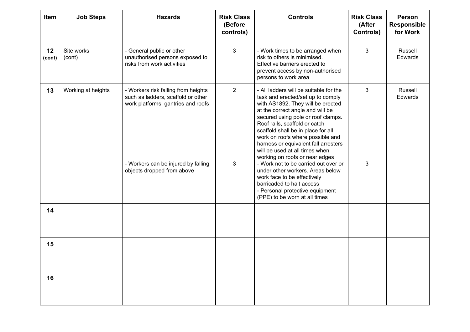| Item         | <b>Job Steps</b>     | <b>Hazards</b>                                                                                                                                                                       | <b>Risk Class</b><br>(Before<br>controls) | <b>Controls</b>                                                                                                                                                                                                                                                                                                                                                                                                                                                                                                                                                                                                               | <b>Risk Class</b><br>(After<br>Controls) | <b>Person</b><br>Responsible<br>for Work |
|--------------|----------------------|--------------------------------------------------------------------------------------------------------------------------------------------------------------------------------------|-------------------------------------------|-------------------------------------------------------------------------------------------------------------------------------------------------------------------------------------------------------------------------------------------------------------------------------------------------------------------------------------------------------------------------------------------------------------------------------------------------------------------------------------------------------------------------------------------------------------------------------------------------------------------------------|------------------------------------------|------------------------------------------|
| 12<br>(cont) | Site works<br>(cont) | - General public or other<br>unauthorised persons exposed to<br>risks from work activities                                                                                           | $\mathfrak{S}$                            | - Work times to be arranged when<br>risk to others is minimised.<br>Effective barriers erected to<br>prevent access by non-authorised<br>persons to work area                                                                                                                                                                                                                                                                                                                                                                                                                                                                 | $\mathfrak{S}$                           | Russell<br>Edwards                       |
| 13           | Working at heights   | - Workers risk falling from heights<br>such as ladders, scaffold or other<br>work platforms, gantries and roofs<br>- Workers can be injured by falling<br>objects dropped from above | $\overline{2}$<br>3                       | - All ladders will be suitable for the<br>task and erected/set up to comply<br>with AS1892. They will be erected<br>at the correct angle and will be<br>secured using pole or roof clamps.<br>Roof rails, scaffold or catch<br>scaffold shall be in place for all<br>work on roofs where possible and<br>harness or equivalent fall arresters<br>will be used at all times when<br>working on roofs or near edges<br>- Work not to be carried out over or<br>under other workers. Areas below<br>work face to be effectively<br>barricaded to halt access<br>- Personal protective equipment<br>(PPE) to be worn at all times | 3<br>3                                   | Russell<br>Edwards                       |
| 14           |                      |                                                                                                                                                                                      |                                           |                                                                                                                                                                                                                                                                                                                                                                                                                                                                                                                                                                                                                               |                                          |                                          |
| 15           |                      |                                                                                                                                                                                      |                                           |                                                                                                                                                                                                                                                                                                                                                                                                                                                                                                                                                                                                                               |                                          |                                          |
| 16           |                      |                                                                                                                                                                                      |                                           |                                                                                                                                                                                                                                                                                                                                                                                                                                                                                                                                                                                                                               |                                          |                                          |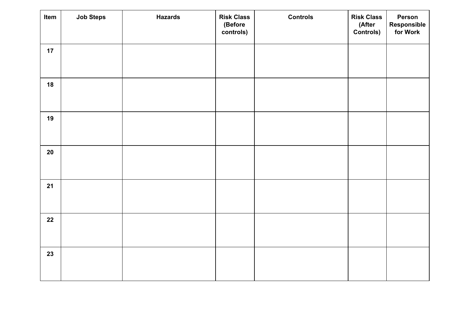| Item   | <b>Job Steps</b> | <b>Hazards</b> | <b>Risk Class</b><br>(Before<br>controls) | <b>Controls</b> | <b>Risk Class</b><br>(After<br><b>Controls)</b> | Person<br><b>Responsible<br/>for Work</b> |
|--------|------------------|----------------|-------------------------------------------|-----------------|-------------------------------------------------|-------------------------------------------|
| 17     |                  |                |                                           |                 |                                                 |                                           |
| 18     |                  |                |                                           |                 |                                                 |                                           |
| 19     |                  |                |                                           |                 |                                                 |                                           |
| $20\,$ |                  |                |                                           |                 |                                                 |                                           |
| 21     |                  |                |                                           |                 |                                                 |                                           |
| 22     |                  |                |                                           |                 |                                                 |                                           |
| 23     |                  |                |                                           |                 |                                                 |                                           |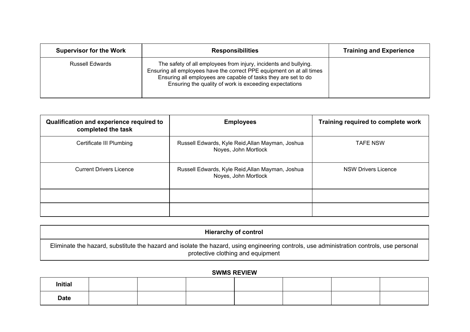| <b>Supervisor for the Work</b> | <b>Responsibilities</b>                                                                                                                                                                                                                                               | <b>Training and Experience</b> |
|--------------------------------|-----------------------------------------------------------------------------------------------------------------------------------------------------------------------------------------------------------------------------------------------------------------------|--------------------------------|
| <b>Russell Edwards</b>         | The safety of all employees from injury, incidents and bullying.<br>Ensuring all employees have the correct PPE equipment on at all times<br>Ensuring all employees are capable of tasks they are set to do<br>Ensuring the quality of work is exceeding expectations |                                |

| Qualification and experience required to<br>completed the task | <b>Employees</b>                                                         | Training required to complete work |
|----------------------------------------------------------------|--------------------------------------------------------------------------|------------------------------------|
| Certificate III Plumbing                                       | Russell Edwards, Kyle Reid, Allan Mayman, Joshua<br>Noyes, John Mortlock | <b>TAFE NSW</b>                    |
| <b>Current Drivers Licence</b>                                 | Russell Edwards, Kyle Reid, Allan Mayman, Joshua<br>Noyes, John Mortlock | <b>NSW Drivers Licence</b>         |
|                                                                |                                                                          |                                    |
|                                                                |                                                                          |                                    |

| <b>Hierarchy of control</b>                                                                                                                                                    |  |
|--------------------------------------------------------------------------------------------------------------------------------------------------------------------------------|--|
| Eliminate the hazard, substitute the hazard and isolate the hazard, using engineering controls, use administration controls, use personal<br>protective clothing and equipment |  |

## **SWMS REVIEW**

| <b>Initial</b> |  |  |  |  |
|----------------|--|--|--|--|
| <b>Date</b>    |  |  |  |  |